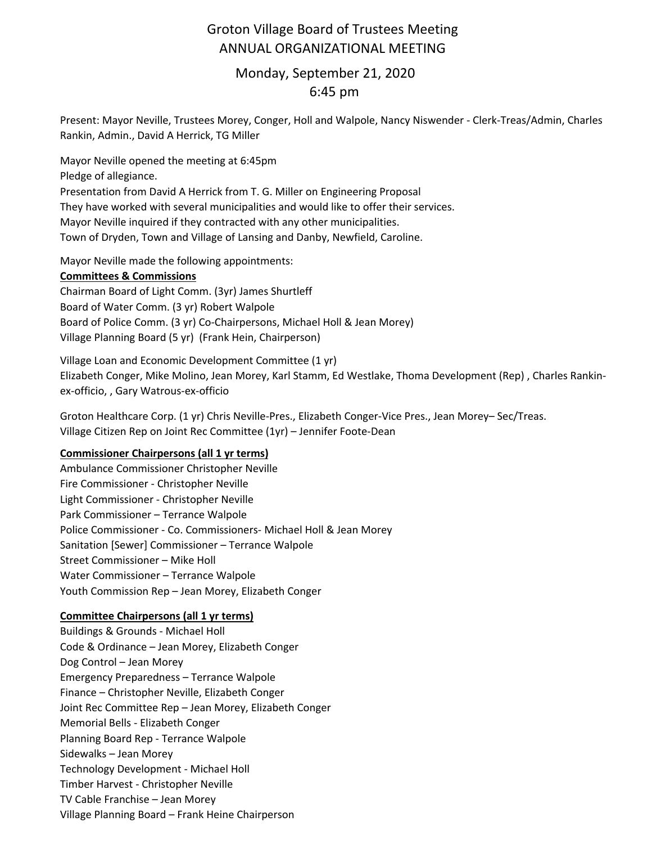# Groton Village Board of Trustees Meeting ANNUAL ORGANIZATIONAL MEETING

## Monday, September 21, 2020 6:45 pm

Present: Mayor Neville, Trustees Morey, Conger, Holl and Walpole, Nancy Niswender ‐ Clerk‐Treas/Admin, Charles Rankin, Admin., David A Herrick, TG Miller

Mayor Neville opened the meeting at 6:45pm Pledge of allegiance. Presentation from David A Herrick from T. G. Miller on Engineering Proposal They have worked with several municipalities and would like to offer their services. Mayor Neville inquired if they contracted with any other municipalities. Town of Dryden, Town and Village of Lansing and Danby, Newfield, Caroline.

Mayor Neville made the following appointments:

#### **Committees & Commissions**

Chairman Board of Light Comm. (3yr) James Shurtleff Board of Water Comm. (3 yr) Robert Walpole Board of Police Comm. (3 yr) Co‐Chairpersons, Michael Holl & Jean Morey) Village Planning Board (5 yr) (Frank Hein, Chairperson)

Village Loan and Economic Development Committee (1 yr) Elizabeth Conger, Mike Molino, Jean Morey, Karl Stamm, Ed Westlake, Thoma Development (Rep) , Charles Rankin‐ ex‐officio, , Gary Watrous‐ex‐officio

Groton Healthcare Corp. (1 yr) Chris Neville‐Pres., Elizabeth Conger‐Vice Pres., Jean Morey– Sec/Treas. Village Citizen Rep on Joint Rec Committee (1yr) – Jennifer Foote‐Dean

### **Commissioner Chairpersons (all 1 yr terms)**

Ambulance Commissioner Christopher Neville Fire Commissioner ‐ Christopher Neville Light Commissioner ‐ Christopher Neville Park Commissioner – Terrance Walpole Police Commissioner ‐ Co. Commissioners‐ Michael Holl & Jean Morey Sanitation [Sewer] Commissioner – Terrance Walpole Street Commissioner – Mike Holl Water Commissioner – Terrance Walpole Youth Commission Rep – Jean Morey, Elizabeth Conger

#### **Committee Chairpersons (all 1 yr terms)**

Buildings & Grounds ‐ Michael Holl Code & Ordinance – Jean Morey, Elizabeth Conger Dog Control – Jean Morey Emergency Preparedness – Terrance Walpole Finance – Christopher Neville, Elizabeth Conger Joint Rec Committee Rep – Jean Morey, Elizabeth Conger Memorial Bells ‐ Elizabeth Conger Planning Board Rep ‐ Terrance Walpole Sidewalks – Jean Morey Technology Development ‐ Michael Holl Timber Harvest ‐ Christopher Neville TV Cable Franchise – Jean Morey Village Planning Board – Frank Heine Chairperson